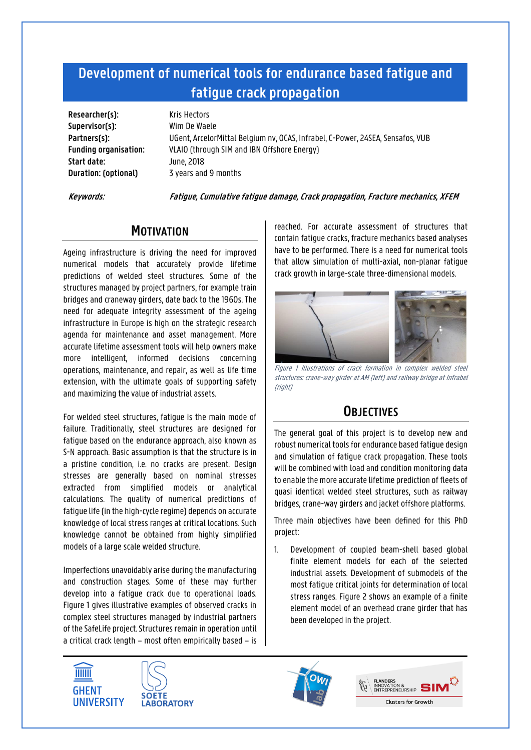## **Development of numerical tools for endurance based fatigue and fatigue crack propagation**

**Researcher(s):** Kris Hectors **Supervisor(s):** Wim De Waele **Start date:** June, 2018 **Duration: (optional)** 3 years and 9 months

**Partners(s):** UGent, ArcelorMittal Belgium nv, OCAS, Infrabel, C-Power, 24SEA, Sensafos, VUB **Funding organisation:** VLAIO (through SIM and IBN Offshore Energy)

**Keywords: Fatigue, Cumulative fatigue damage, Crack propagation, Fracture mechanics, XFEM**

## **MOTIVATION**

Ageing infrastructure is driving the need for improved numerical models that accurately provide lifetime predictions of welded steel structures. Some of the structures managed by project partners, for example train bridges and craneway girders, date back to the 1960s. The need for adequate integrity assessment of the ageing infrastructure in Europe is high on the strategic research agenda for maintenance and asset management. More accurate lifetime assessment tools will help owners make more intelligent, informed decisions concerning operations, maintenance, and repair, as well as life time extension, with the ultimate goals of supporting safety and maximizing the value of industrial assets.

For welded steel structures, fatigue is the main mode of failure. Traditionally, steel structures are designed for fatigue based on the endurance approach, also known as S-N approach. Basic assumption is that the structure is in a pristine condition, i.e. no cracks are present. Design stresses are generally based on nominal stresses extracted from simplified models or analytical calculations. The quality of numerical predictions of fatigue life (in the high-cycle regime) depends on accurate knowledge of local stress ranges at critical locations. Such knowledge cannot be obtained from highly simplified models of a large scale welded structure.

Imperfections unavoidably arise during the manufacturing and construction stages. Some of these may further develop into a fatigue crack due to operational loads. Figure 1 gives illustrative examples of observed cracks in complex steel structures managed by industrial partners of the SafeLife project. Structures remain in operation until a critical crack length – most often empirically based – is reached. For accurate assessment of structures that contain fatigue cracks, fracture mechanics based analyses have to be performed. There is a need for numerical tools that allow simulation of multi-axial, non-planar fatigue crack growth in large-scale three-dimensional models.



Figure 1 Illustrations of crack formation in complex welded steel structures: crane-way girder at AM (left) and railway bridge at Infrabel (right)

## **OBJECTIVES**

The general goal of this project is to develop new and robust numerical tools for endurance based fatigue design and simulation of fatigue crack propagation. These tools will be combined with load and condition monitoring data to enable the more accurate lifetime prediction of fleets of quasi identical welded steel structures, such as railway bridges, crane-way girders and jacket offshore platforms.

Three main objectives have been defined for this PhD project:

1. Development of coupled beam-shell based global finite element models for each of the selected industrial assets. Development of submodels of the most fatigue critical joints for determination of local stress ranges. Figure 2 shows an example of a finite element model of an overhead crane girder that has been developed in the project.